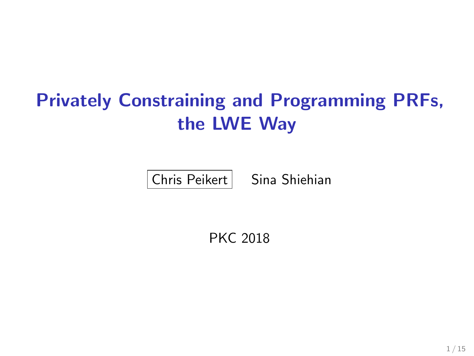# Privately Constraining and Programming PRFs, the LWE Way

 $|$  Chris Peikert  $|$  Sina Shiehian

PKC 2018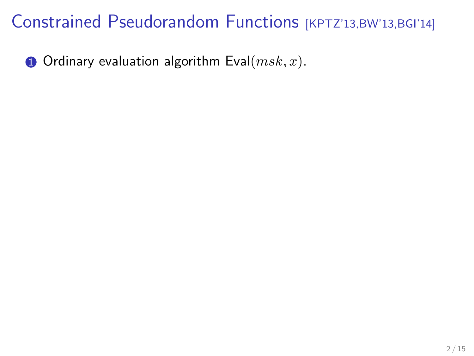$\bullet$  Ordinary evaluation algorithm Eval $(msk, x)$ .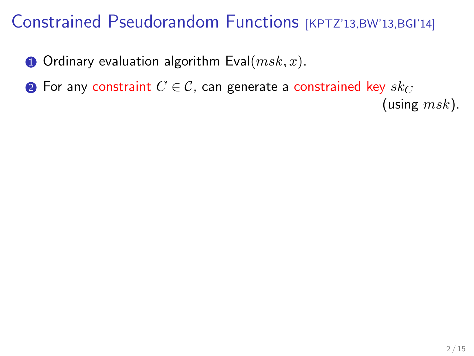$\bullet$  Ordinary evaluation algorithm Eval $(msk, x)$ .

**2** For any constraint  $C \in \mathcal{C}$ , can generate a constrained key  $sk_C$ 

(using  $msk$ ).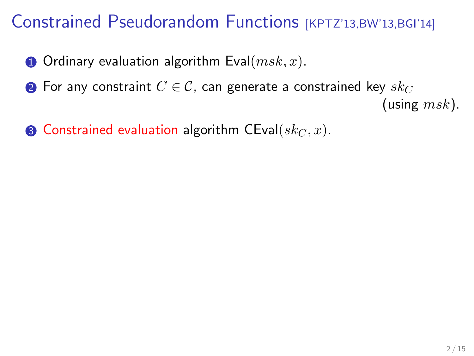- **O** Ordinary evaluation algorithm Eval $(msk, x)$ .
- **②** For any constraint  $C \in \mathcal{C}$ , can generate a constrained key  $sk_C$

(using  $msk$ ).

**3** Constrained evaluation algorithm CEval $(sk_C, x)$ .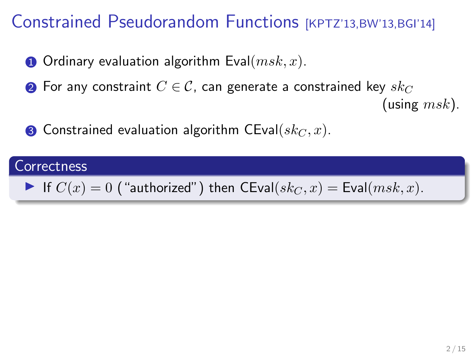- **O** Ordinary evaluation algorithm Eval $(msk, x)$ .
- **②** For any constraint  $C \in \mathcal{C}$ , can generate a constrained key  $sk_C$

(using  $msk$ ).

**3** Constrained evaluation algorithm CEval( $sk_C$ , x).

## **Correctness** If  $C(x) = 0$  ("authorized") then CEval $(sk_C, x) =$  Eval $(msk, x)$ .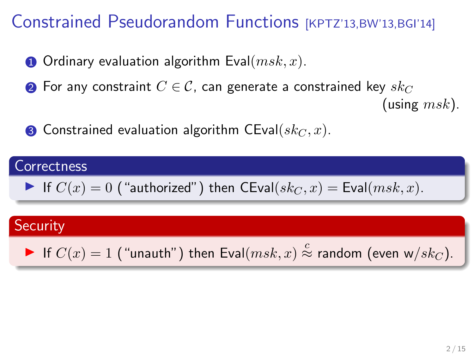- **O** Ordinary evaluation algorithm Eval $(msk, x)$ .
- **②** For any constraint  $C \in \mathcal{C}$ , can generate a constrained key  $sk_C$

(using  $msk$ ).

**3** Constrained evaluation algorithm CEval( $sk_C$ , x).

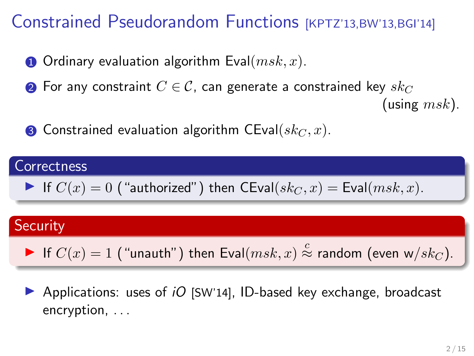- **O** Ordinary evaluation algorithm Eval $(msk, x)$ .
- **②** For any constraint  $C \in \mathcal{C}$ , can generate a constrained key  $sk_C$

(using  $msk$ ).

**3** Constrained evaluation algorithm CEval( $sk_C$ , x).



**•** Applications: uses of *iO* [SW'14], ID-based key exchange, broadcast encryption, . . .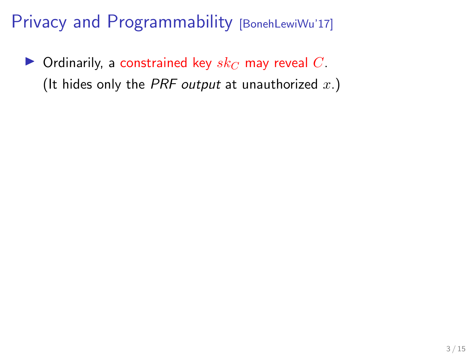$\blacktriangleright$  Ordinarily, a constrained key  $sk_C$  may reveal C. (It hides only the PRF output at unauthorized  $x$ .)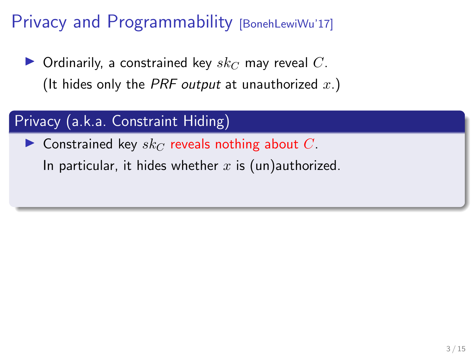$\blacktriangleright$  Ordinarily, a constrained key  $sk_C$  may reveal C. (It hides only the PRF output at unauthorized  $x.$ )

### Privacy (a.k.a. Constraint Hiding)

**Constrained key**  $sk_C$  reveals nothing about C.

In particular, it hides whether  $x$  is (un)authorized.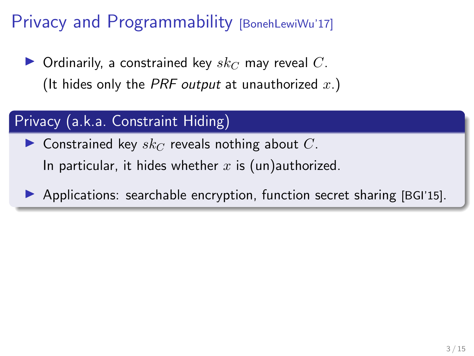$\blacktriangleright$  Ordinarily, a constrained key  $sk_C$  may reveal  $C$ . (It hides only the PRF output at unauthorized  $x.$ )

### Privacy (a.k.a. Constraint Hiding)

**Constrained key**  $sk_C$  reveals nothing about C. In particular, it hides whether  $x$  is (un)authorized.

 $\triangleright$  Applications: searchable encryption, function secret sharing [BGI'15].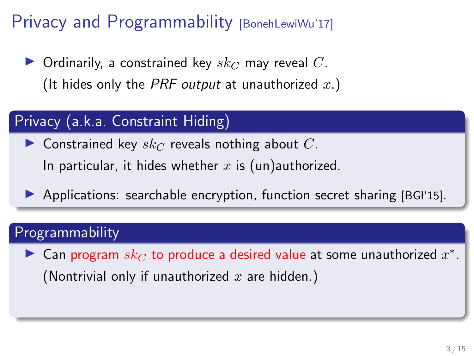$\blacktriangleright$  Ordinarily, a constrained key  $sk_C$  may reveal C. (It hides only the PRF output at unauthorized  $x.$ )

### Privacy (a.k.a. Constraint Hiding)

**Constrained key**  $sk_C$  reveals nothing about C. In particular, it hides whether  $x$  is (un)authorized.

 $\triangleright$  Applications: searchable encryption, function secret sharing [BGI'15].

### Programmability

► Can program  $sk_C$  to produce a desired value at some unauthorized  $x^*$ . (Nontrivial only if unauthorized  $x$  are hidden.)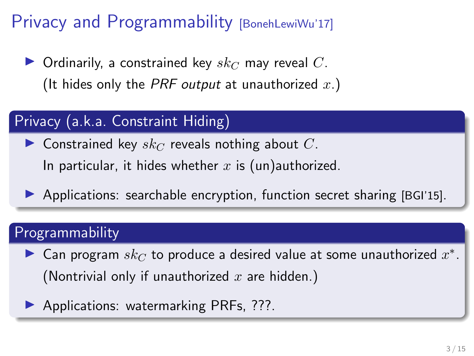$\blacktriangleright$  Ordinarily, a constrained key  $sk_C$  may reveal C. (It hides only the PRF output at unauthorized  $x.$ )

### Privacy (a.k.a. Constraint Hiding)

**Constrained key**  $sk_C$  reveals nothing about C. In particular, it hides whether  $x$  is (un)authorized.

 $\triangleright$  Applications: searchable encryption, function secret sharing [BGI'15].

### Programmability

- ► Can program  $sk_C$  to produce a desired value at some unauthorized  $x^*$ . (Nontrivial only if unauthorized  $x$  are hidden.)
- **Applications: watermarking PRFs, ???.**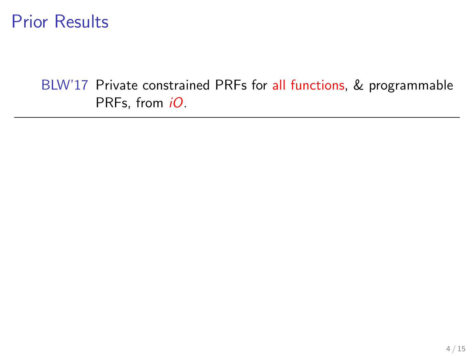BLW'17 Private constrained PRFs for all functions, & programmable PRFs, from *iO*.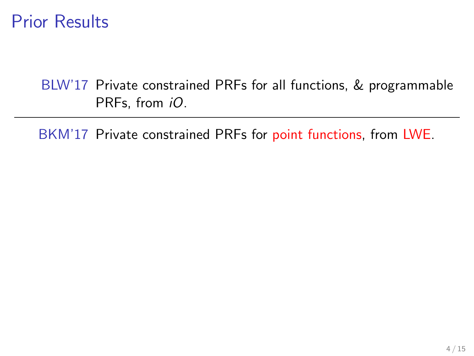BLW'17 Private constrained PRFs for all functions, & programmable PRFs, from *iO*.

BKM'17 Private constrained PRFs for point functions, from LWE.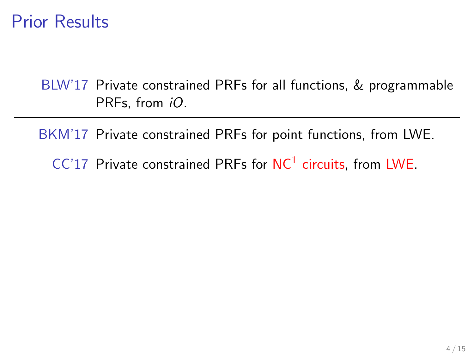BLW'17 Private constrained PRFs for all functions, & programmable PRFs, from *iO*.

BKM'17 Private constrained PRFs for point functions, from LWE.  $CC'17$  Private constrained PRFs for  $NC<sup>1</sup>$  circuits, from LWE.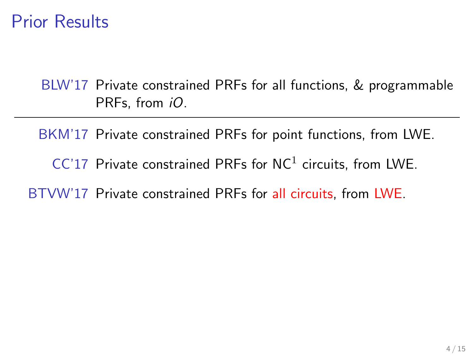BLW'17 Private constrained PRFs for all functions, & programmable PRFs, from *iO*.

BKM'17 Private constrained PRFs for point functions, from LWE.  $CC'17$  Private constrained PRFs for  $NC<sup>1</sup>$  circuits, from LWE. BTVW'17 Private constrained PRFs for all circuits, from LWE.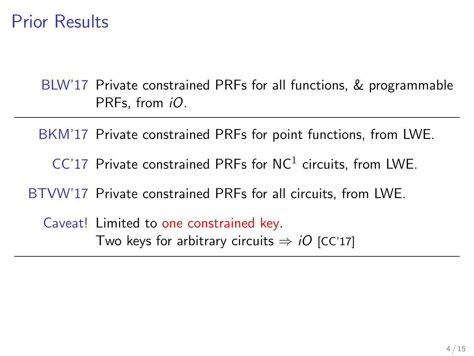BLW'17 Private constrained PRFs for all functions, & programmable PRFs, from *iO*.

BKM'17 Private constrained PRFs for point functions, from LWE.  $CC'17$  Private constrained PRFs for  $NC<sup>1</sup>$  circuits, from LWE. BTVW'17 Private constrained PRFs for all circuits, from LWE. Caveat! Limited to one constrained key. Two keys for arbitrary circuits  $\Rightarrow iO$  [CC'17]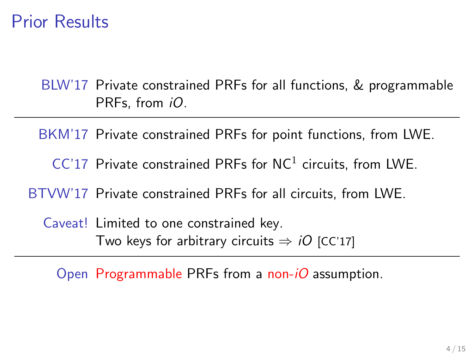BLW'17 Private constrained PRFs for all functions, & programmable PRFs, from *iO*.

BKM'17 Private constrained PRFs for point functions, from LWE.  $CC'17$  Private constrained PRFs for  $NC<sup>1</sup>$  circuits, from LWE. BTVW'17 Private constrained PRFs for all circuits, from LWE. Caveat! Limited to one constrained key.

Two keys for arbitrary circuits  $\Rightarrow$  *iO* [CC'17]

Open Programmable PRFs from a non- $iO$  assumption.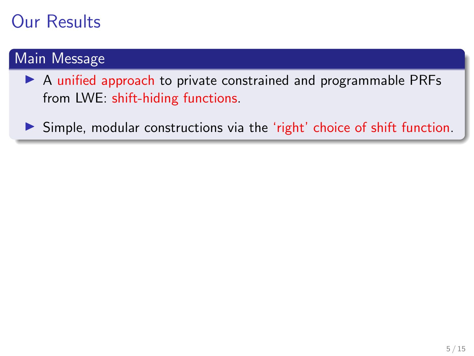#### Main Message

 $\triangleright$  A unified approach to private constrained and programmable PRFs from LWE: shift-hiding functions.

 $\triangleright$  Simple, modular constructions via the 'right' choice of shift function.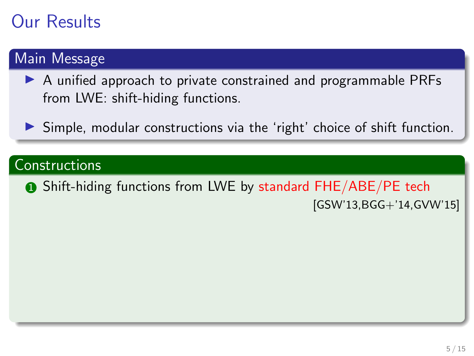#### Main Message

- ▶ A unified approach to private constrained and programmable PRFs from LWE: shift-hiding functions.
- $\triangleright$  Simple, modular constructions via the 'right' choice of shift function.

#### **Constructions**

**1** Shift-hiding functions from LWE by standard FHE/ABE/PE tech [GSW'13,BGG+'14,GVW'15]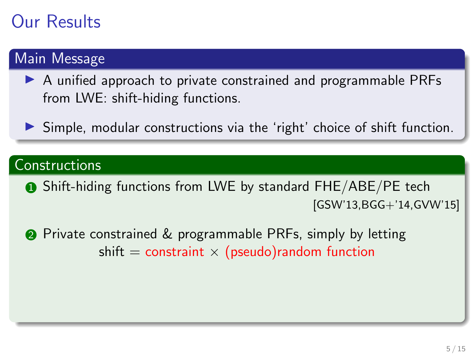#### Main Message

- $\triangleright$  A unified approach to private constrained and programmable PRFs from LWE: shift-hiding functions.
- $\triangleright$  Simple, modular constructions via the 'right' choice of shift function.

#### **Constructions**

**1** Shift-hiding functions from LWE by standard FHE/ABE/PE tech [GSW'13,BGG+'14,GVW'15]

**2** Private constrained & programmable PRFs, simply by letting shift  $=$  constraint  $\times$  (pseudo) random function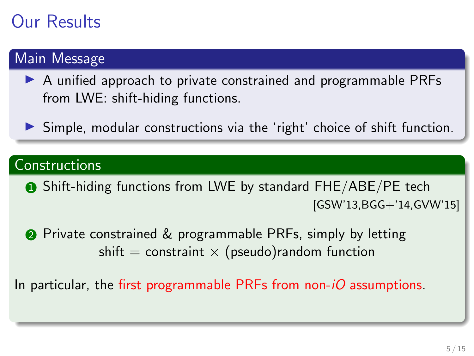#### Main Message

- A unified approach to private constrained and programmable PRFs from LWE: shift-hiding functions.
- $\triangleright$  Simple, modular constructions via the 'right' choice of shift function.

#### **Constructions**

**1** Shift-hiding functions from LWE by standard FHE/ABE/PE tech [GSW'13,BGG+'14,GVW'15]

**2** Private constrained & programmable PRFs, simply by letting shift  $=$  constraint  $\times$  (pseudo) random function

In particular, the first programmable PRFs from non- $iO$  assumptions.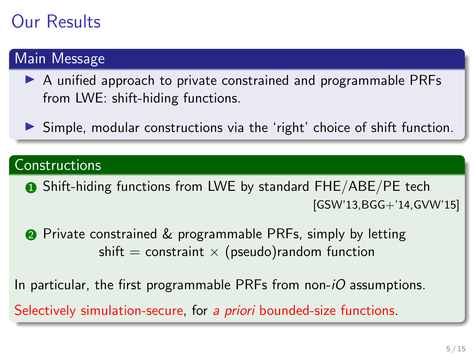#### Main Message

- $\triangleright$  A unified approach to private constrained and programmable PRFs from LWE: shift-hiding functions.
- I Simple, modular constructions via the 'right' choice of shift function.

#### **Constructions**

**1** Shift-hiding functions from LWE by standard FHE/ABE/PE tech [GSW'13,BGG+'14,GVW'15]

**2** Private constrained & programmable PRFs, simply by letting shift  $=$  constraint  $\times$  (pseudo) random function

In particular, the first programmable PRFs from non- $iO$  assumptions.

Selectively simulation-secure, for a *priori* bounded-size functions.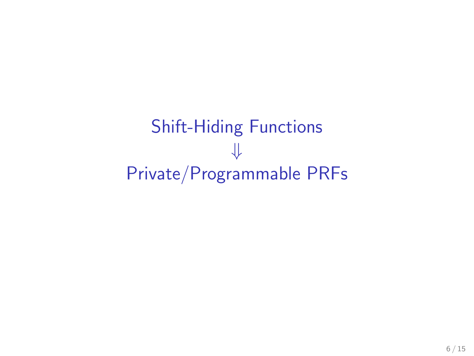Shift-Hiding Functions ⇓ Private/Programmable PRFs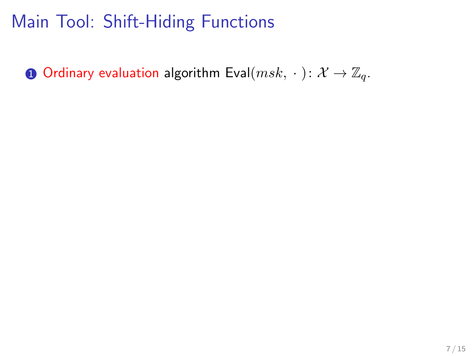**1** Ordinary evaluation algorithm Eval $(msk, \cdot): \mathcal{X} \to \mathbb{Z}_q$ .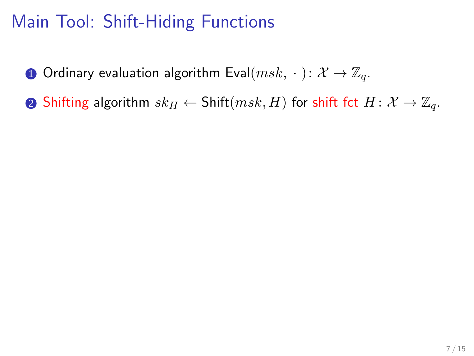**1** Ordinary evaluation algorithm Eval $(msk, \cdot): \mathcal{X} \to \mathbb{Z}_q$ .

**②** Shifting algorithm  $sk_H \leftarrow$  Shift $(msk, H)$  for shift fct  $H: \mathcal{X} \rightarrow \mathbb{Z}_q$ .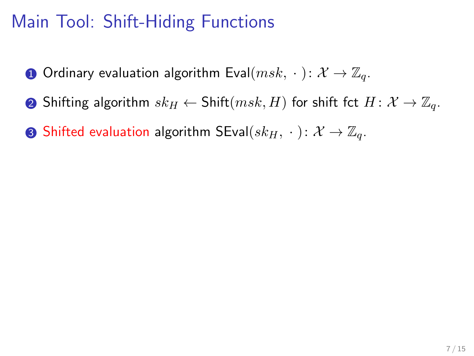- **1** Ordinary evaluation algorithm Eval $(msk, \cdot): \mathcal{X} \to \mathbb{Z}_q$ .
- **②** Shifting algorithm  $sk_H \leftarrow$  Shift $(msk, H)$  for shift fct  $H: \mathcal{X} \rightarrow \mathbb{Z}_q$ .
- **3** Shifted evaluation algorithm SEval $(sk_H, \cdot : \mathcal{X} \rightarrow \mathbb{Z}_q$ .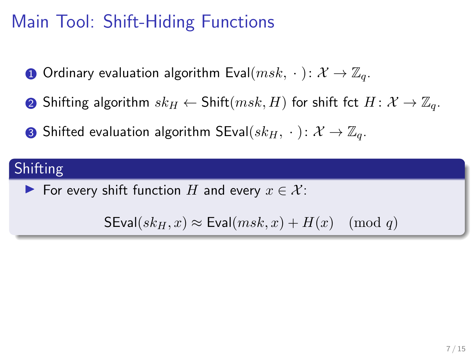- **O** Ordinary evaluation algorithm Eval $(msk, \cdot): \mathcal{X} \to \mathbb{Z}_q$ .
- **②** Shifting algorithm  $sk_H \leftarrow$  Shift $(msk, H)$  for shift fct  $H: \mathcal{X} \rightarrow \mathbb{Z}_q$ .
- **3** Shifted evaluation algorithm SEval $(sk_H, \cdot : \mathcal{X} \rightarrow \mathbb{Z}_q$ .

### Shifting

For every shift function H and every  $x \in \mathcal{X}$ :

 $\mathsf{SEval}(sk_H, x) \approx \mathsf{Eval}(msk, x) + H(x) \pmod{q}$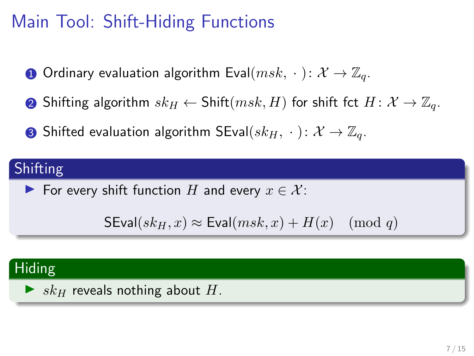- **O** Ordinary evaluation algorithm Eval $(msk, \cdot): \mathcal{X} \to \mathbb{Z}_q$ .
- **②** Shifting algorithm  $sk_H \leftarrow$  Shift $(msk, H)$  for shift fct  $H: \mathcal{X} \rightarrow \mathbb{Z}_q$ .
- **3** Shifted evaluation algorithm SEval $(sk_H, \cdot : \mathcal{X} \rightarrow \mathbb{Z}_q$ .

### Shifting

► For every shift function H and every  $x \in \mathcal{X}$ :

```
SEval(sk_H, x) \approx Eval(msk, x) + H(x) \pmod{q}
```
#### Hiding

 $\blacktriangleright$  sk<sub>H</sub> reveals nothing about H.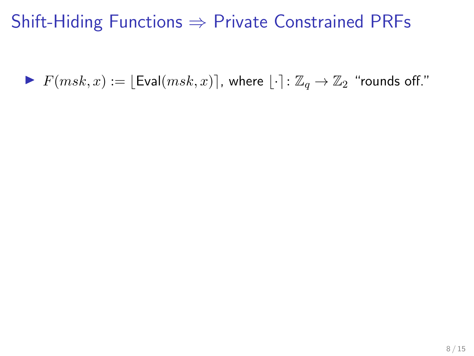### Shift-Hiding Functions  $\Rightarrow$  Private Constrained PRFs

 $\blacktriangleright$   $F(msk, x) := |\text{Eval}(msk, x)|$ , where  $|\cdot|: \mathbb{Z}_q \to \mathbb{Z}_2$  "rounds off."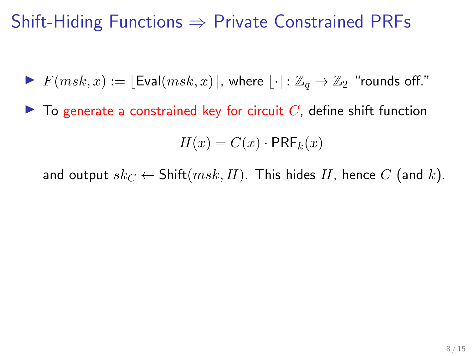## Shift-Hiding Functions  $\Rightarrow$  Private Constrained PRFs

- $\blacktriangleright$   $F(msk, x) := |\text{Eval}(msk, x)|$ , where  $|\cdot| : \mathbb{Z}_q \to \mathbb{Z}_2$  "rounds off."
- $\blacktriangleright$  To generate a constrained key for circuit C, define shift function

$$
H(x) = C(x) \cdot \mathsf{PRF}_k(x)
$$

and output  $sk_C \leftarrow \text{Shift}(msk, H)$ . This hides H, hence C (and k).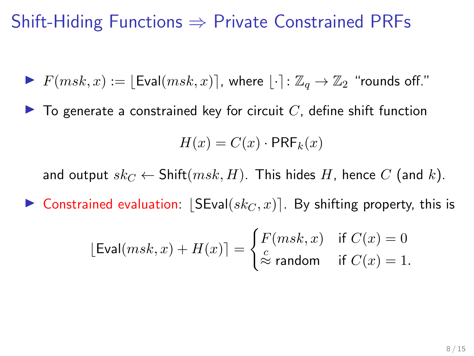### Shift-Hiding Functions  $\Rightarrow$  Private Constrained PRFs

- $\blacktriangleright$   $F(msk, x) := |\text{Eval}(msk, x)|$ , where  $|\cdot| : \mathbb{Z}_q \to \mathbb{Z}_2$  "rounds off."
- $\blacktriangleright$  To generate a constrained key for circuit  $C$ , define shift function

$$
H(x) = C(x) \cdot \mathsf{PRF}_k(x)
$$

and output  $sk_C \leftarrow \text{Shift}(msk, H)$ . This hides H, hence C (and k).

**In Constrained evaluation:**  $|SEval(sk<sub>C</sub>, x)|$ . By shifting property, this is

$$
[\text{Eval}(msk, x) + H(x)] = \begin{cases} F(msk, x) & \text{if } C(x) = 0\\ \stackrel{c}{\approx} \text{random} & \text{if } C(x) = 1. \end{cases}
$$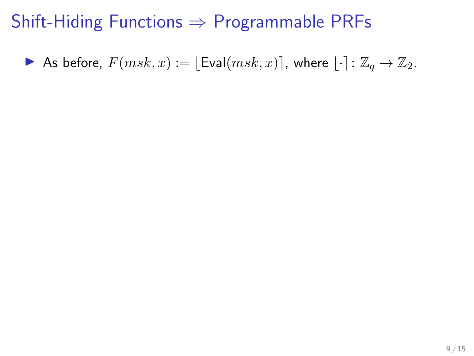### Shift-Hiding Functions  $\Rightarrow$  Programmable PRFs

As before,  $F(msk, x) := \lfloor \text{Eval}(msk, x) \rfloor$ , where  $\lfloor \cdot \rceil : \mathbb{Z}_q \to \mathbb{Z}_2$ .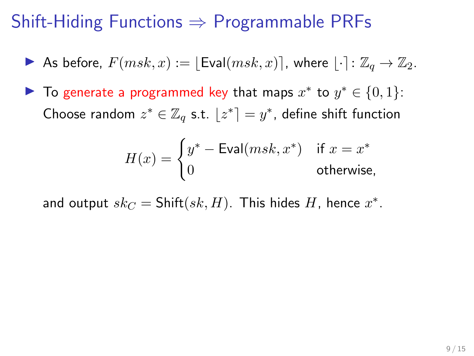## Shift-Hiding Functions  $\Rightarrow$  Programmable PRFs

- As before,  $F(msk, x) := |\text{Eval}(msk, x)|$ , where  $|\cdot|: \mathbb{Z}_a \to \mathbb{Z}_2$ .
- ▶ To generate a programmed key that maps  $x^*$  to  $y^* \in \{0,1\}$ : Choose random  $z^* \in \mathbb{Z}_q$  s.t.  $\lfloor z^* \rceil = y^*$ , define shift function

$$
H(x) = \begin{cases} y^* - \text{Eval}(msk, x^*) & \text{if } x = x^* \\ 0 & \text{otherwise,} \end{cases}
$$

and output  $sk_C = \text{Shift}(sk, H)$ . This hides  $H$ , hence  $x^*$ .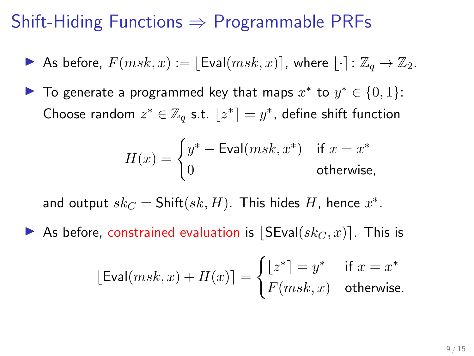### Shift-Hiding Functions  $\Rightarrow$  Programmable PRFs

- As before,  $F(msk, x) := |\text{Eval}(msk, x)|$ , where  $|\cdot|: \mathbb{Z}_q \to \mathbb{Z}_2$ .
- ▶ To generate a programmed key that maps  $x^*$  to  $y^* \in \{0,1\}$ : Choose random  $z^* \in \mathbb{Z}_q$  s.t.  $\lfloor z^* \rceil = y^*$ , define shift function

$$
H(x) = \begin{cases} y^* - \text{Eval}(msk, x^*) & \text{if } x = x^* \\ 0 & \text{otherwise,} \end{cases}
$$

and output  $sk_C = \text{Shift}(sk, H)$ . This hides  $H$ , hence  $x^*$ .

As before, constrained evaluation is  $|\mathsf{SEval}(sk_C, x)|$ . This is

$$
[\text{Eval}(msk, x) + H(x)] = \begin{cases} \lfloor z^* \rfloor = y^* & \text{if } x = x^* \\ F(msk, x) & \text{otherwise.} \end{cases}
$$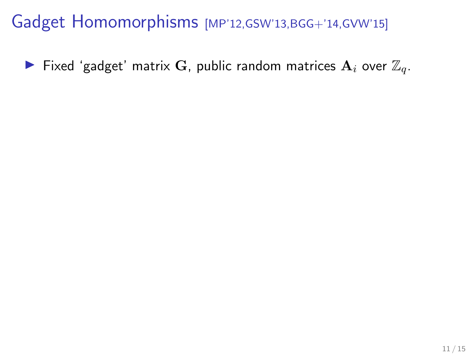Fixed 'gadget' matrix G, public random matrices  $A_i$  over  $\mathbb{Z}_q$ .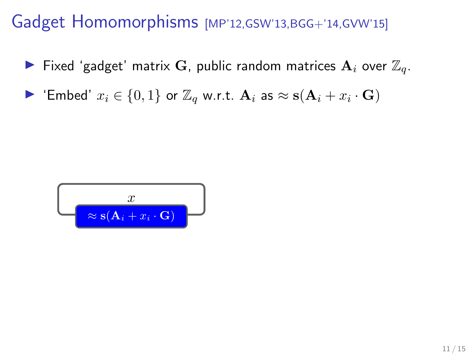- Fixed 'gadget' matrix G, public random matrices  $A_i$  over  $\mathbb{Z}_q$ .
- ▶ 'Embed'  $x_i \in \{0,1\}$  or  $\mathbb{Z}_q$  w.r.t.  $\mathbf{A}_i$  as  $\approx$   $\mathbf{s}(\mathbf{A}_i + x_i \cdot \mathbf{G})$

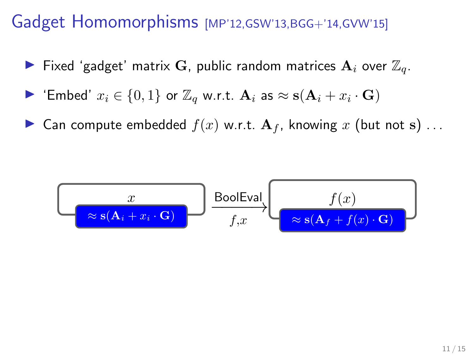- $\blacktriangleright$  Fixed 'gadget' matrix G, public random matrices  $\mathbf{A}_i$  over  $\mathbb{Z}_q$ .
- ▶ 'Embed'  $x_i \in \{0,1\}$  or  $\mathbb{Z}_q$  w.r.t.  $\mathbf{A}_i$  as  $\approx$   $\mathbf{s}(\mathbf{A}_i + x_i \cdot \mathbf{G})$
- **If** Can compute embedded  $f(x)$  w.r.t.  $A_f$ , knowing x (but not s) ...

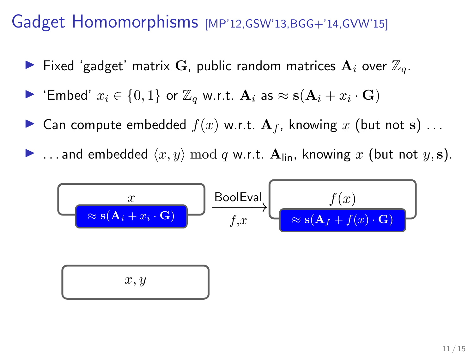- $\blacktriangleright$  Fixed 'gadget' matrix G, public random matrices  $\mathbf{A}_i$  over  $\mathbb{Z}_q$ .
- ▶ 'Embed'  $x_i \in \{0,1\}$  or  $\mathbb{Z}_q$  w.r.t.  $\mathbf{A}_i$  as  $\approx$   $\mathbf{s}(\mathbf{A}_i + x_i \cdot \mathbf{G})$
- **If** Can compute embedded  $f(x)$  w.r.t.  $A_f$ , knowing x (but not s)...
- **If** ... and embedded  $\langle x, y \rangle$  mod q w.r.t.  $A_{lin}$ , knowing x (but not y, s).

$$
x
$$
\n
$$
x
$$
\n
$$
f(x)
$$
\n
$$
x
$$
\n
$$
f(x)
$$
\n
$$
f(x)
$$
\n
$$
f(x)
$$
\n
$$
x, y
$$
\n
$$
x
$$
\n
$$
x
$$
\n
$$
x
$$
\n
$$
x
$$
\n
$$
x
$$
\n
$$
x
$$
\n
$$
x
$$
\n
$$
x
$$
\n
$$
x
$$
\n
$$
x
$$
\n
$$
x
$$
\n
$$
x
$$
\n
$$
x
$$
\n
$$
x
$$
\n
$$
x
$$
\n
$$
x
$$
\n
$$
x
$$
\n
$$
x
$$
\n
$$
x
$$
\n
$$
x
$$
\n
$$
x
$$
\n
$$
x
$$
\n
$$
x
$$
\n
$$
x
$$
\n
$$
x
$$
\n
$$
x
$$
\n
$$
x
$$
\n
$$
x
$$
\n
$$
x
$$
\n
$$
x
$$
\n
$$
x
$$
\n
$$
x
$$
\n
$$
x
$$
\n
$$
x
$$
\n
$$
x
$$
\n
$$
x
$$
\n
$$
x
$$
\n
$$
x
$$
\n
$$
x
$$
\n
$$
x
$$
\n
$$
x
$$
\n
$$
x
$$
\n
$$
x
$$
\n
$$
x
$$
\n
$$
x
$$
\n
$$
x
$$
\n
$$
x
$$
\n
$$
x
$$
\n
$$
x
$$
\n
$$
x
$$
\n
$$
x
$$
\n
$$
x
$$
\n
$$
x
$$
\n
$$
x
$$
\n
$$
x
$$
\n
$$
x
$$
\n
$$
x
$$
\n
$$
x
$$
\n
$$
x
$$
\n
$$
x
$$
\n
$$
x
$$
\n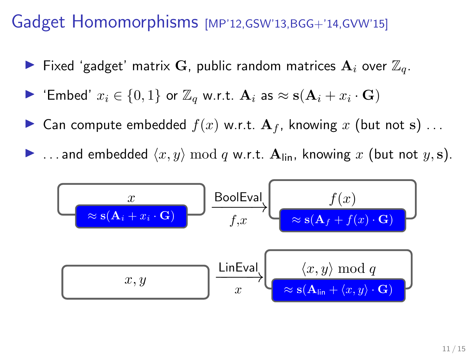- $\blacktriangleright$  Fixed 'gadget' matrix  $\mathbf G$ , public random matrices  $\mathbf A_i$  over  $\mathbb Z_q.$
- ▶ 'Embed'  $x_i \in \{0,1\}$  or  $\mathbb{Z}_q$  w.r.t.  $\mathbf{A}_i$  as  $\approx$   $\mathbf{s}(\mathbf{A}_i + x_i \cdot \mathbf{G})$
- **If** Can compute embedded  $f(x)$  w.r.t.  $A_f$ , knowing x (but not s)...
- **If** ... and embedded  $\langle x, y \rangle$  mod q w.r.t.  $A_{lin}$ , knowing x (but not  $y, s$ ).

$$
\begin{array}{c}\n x \\
\hline\n x \in (A_i + x_i \cdot G)\n \end{array}\n \xrightarrow{\text{Boolean}}\n \begin{array}{c}\n B \text{oolEval} \\
f(x) \\
\hline\n x \in (A_f + f(x) \cdot G)\n \end{array}\n \xrightarrow{\text{LinEval}}\n \begin{array}{c}\n x, y \mod q \\
x \in (A_{\text{lin}} + \langle x, y \rangle \cdot G)\n \end{array}
$$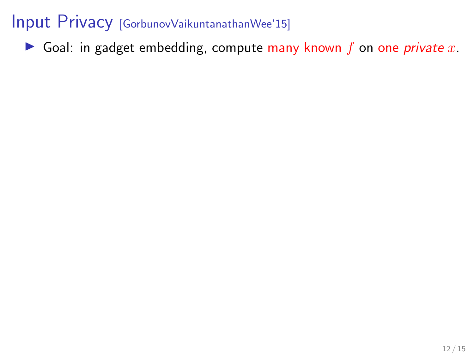Goal: in gadget embedding, compute many known  $f$  on one *private*  $x$ .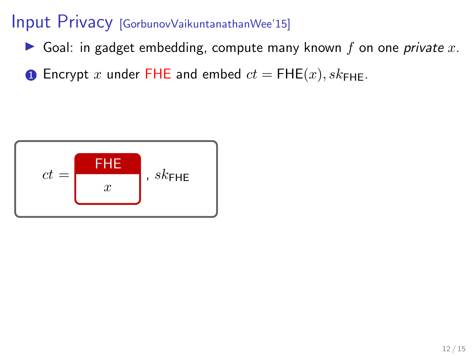- Goal: in gadget embedding, compute many known f on one *private*  $x$ .
- **1** Encrypt x under FHE and embed  $ct =$  FHE $(x)$ ,  $sk$ <sub>FHE</sub>.

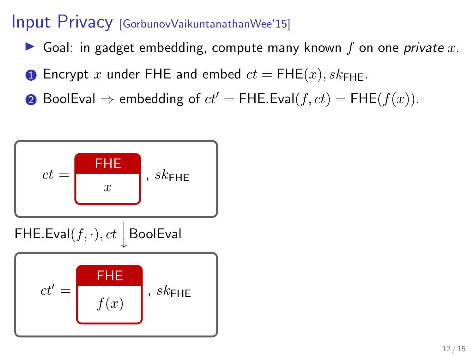- Goal: in gadget embedding, compute many known f on one *private*  $x$ .
- **1** Encrypt x under FHE and embed  $ct =$  FHE $(x)$ ,  $sk_{\text{FHF}}$ .
- **②** BoolEval  $\Rightarrow$  embedding of  $ct' =$  FHE.Eval(f,  $ct$ ) = FHE(f(x)).

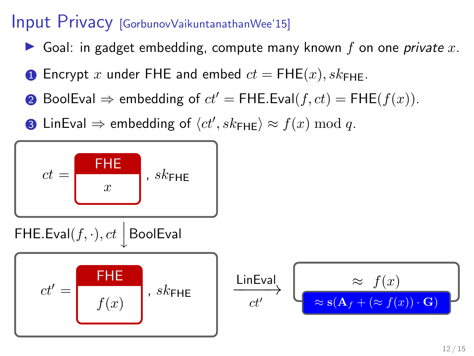- Goal: in gadget embedding, compute many known f on one *private x*.
- **1** Encrypt x under FHE and embed  $ct =$  FHE $(x)$ ,  $sk_{\text{FHF}}$ .
- **②** BoolEval  $\Rightarrow$  embedding of  $ct' =$  FHE.Eval(f,  $ct$ ) = FHE(f(x)).
- 3 LinEval  $\Rightarrow$  embedding of  $\langle ct', sk_\mathsf{FHE} \rangle \approx f(x) \bmod q.$

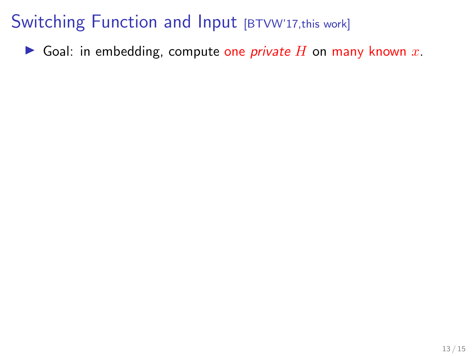## Switching Function and Input [BTVW'17, this work]

Goal: in embedding, compute one *private* H on many known x.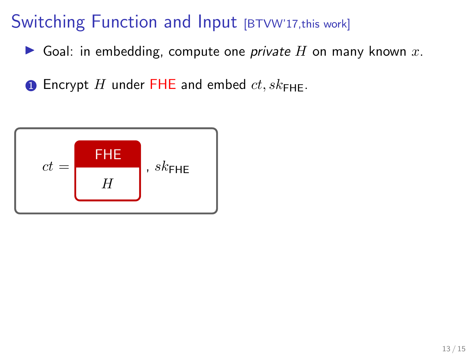## Switching Function and Input [BTVW'17, this work]

Goal: in embedding, compute one *private*  $H$  on many known  $x$ .

**1** Encrypt H under FHE and embed  $ct$ ,  $sk_{\text{FHF}}$ .

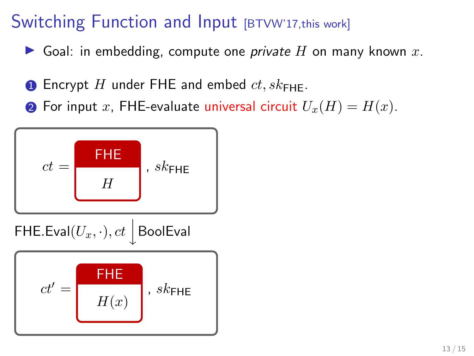### Switching Function and Input [BTVW'17,this work]

- Goal: in embedding, compute one *private H* on many known x.
- **1** Encrypt H under FHE and embed  $ct$ ,  $sk_{\text{FHF}}$ .
- **2** For input x, FHE-evaluate universal circuit  $U_x(H) = H(x)$ .

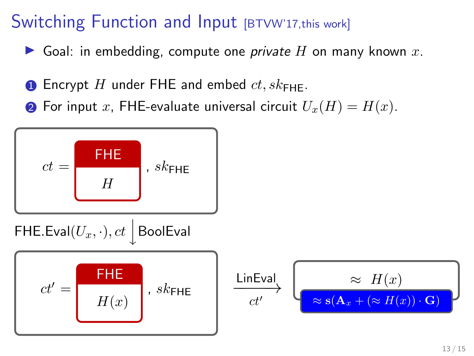## Switching Function and Input [BTVW'17,this work]

- Goal: in embedding, compute one *private H* on many known x.
- **1** Encrypt H under FHE and embed  $ct$ ,  $sk_{\text{FHF}}$ .
- **2** For input x, FHE-evaluate universal circuit  $U_x(H) = H(x)$ .

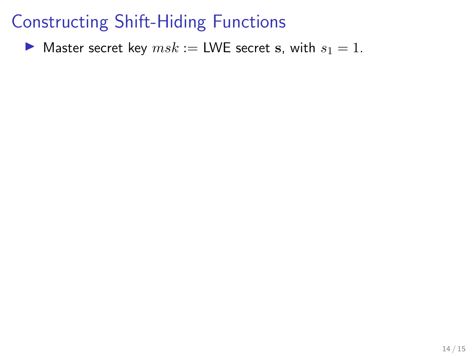$\blacktriangleright$  Master secret key  $msk :=$  LWE secret s, with  $s_1 = 1$ .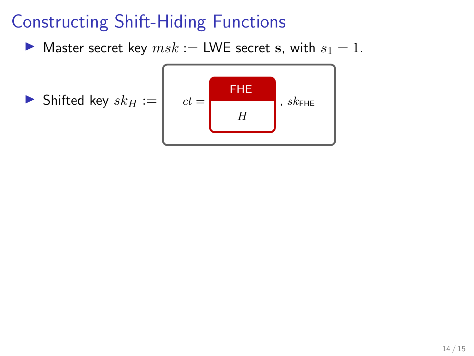$\blacktriangleright$  Master secret key  $msk :=$  LWE secret s, with  $s_1 = 1$ .

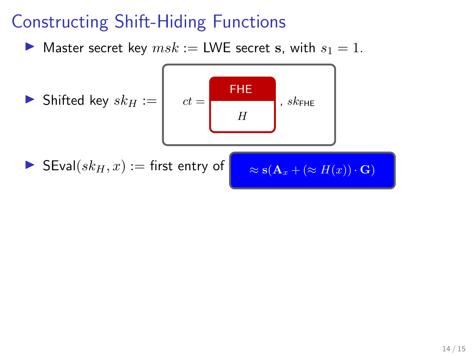$\blacktriangleright$  Master secret key  $msk :=$  LWE secret s, with  $s_1 = 1$ .

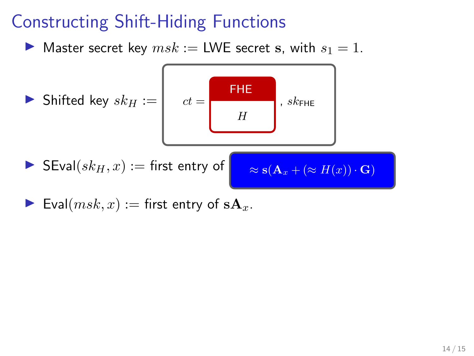**If** Master secret key  $msk :=$  LWE secret s, with  $s_1 = 1$ .



Eval $(msk, x) :=$  first entry of  $sA_x$ .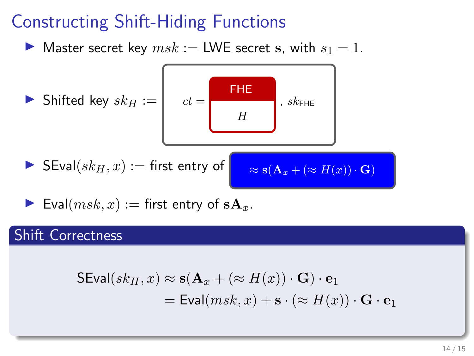$\blacktriangleright$  Master secret key  $msk :=$  LWE secret s, with  $s_1 = 1$ .

► Shifted key 
$$
sk_H := \begin{bmatrix} ct = \frac{FHE}{H}, sk_{FHE} \end{bmatrix}
$$
,  $sk_{FHE}$   
\n► SEval $(sk_H, x) :=$  first entry of  $\approx s(A_x + (\approx H(x)) \cdot G)$ 

Eval $(msk, x) :=$  first entry of  $sA_x$ .

#### Shift Correctness

$$
SEval(sk_H, x) \approx s(\mathbf{A}_x + (\approx H(x)) \cdot \mathbf{G}) \cdot \mathbf{e}_1
$$
  
= 
$$
Eval(msk, x) + \mathbf{s} \cdot (\approx H(x)) \cdot \mathbf{G} \cdot \mathbf{e}_1
$$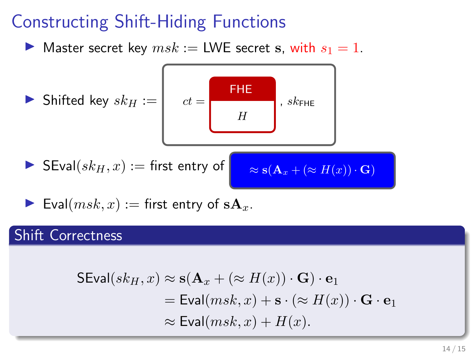$\blacktriangleright$  Master secret key  $msk :=$  LWE secret s, with  $s_1 = 1$ .

► Shifted key 
$$
sk_H := \begin{bmatrix} ct = \begin{bmatrix} \text{FHE} \\ H \end{bmatrix}, sk_{\text{FHE}} \end{bmatrix}
$$
  
\n▶ SEval( $sk_H, x$ ) := first entry of  $\approx s(A_x + (\approx H(x)) \cdot G)$ 

Eval $(msk, x) :=$  first entry of  $sA_x$ .

#### Shift Correctness

$$
\begin{aligned} \mathsf{SEval}(sk_H, x) &\approx \mathbf{s}(\mathbf{A}_x + (\approx H(x)) \cdot \mathbf{G}) \cdot \mathbf{e}_1 \\ &= \mathsf{Eval}(msk, x) + \mathbf{s} \cdot (\approx H(x)) \cdot \mathbf{G} \cdot \mathbf{e}_1 \\ &\approx \mathsf{Eval}(msk, x) + H(x). \end{aligned}
$$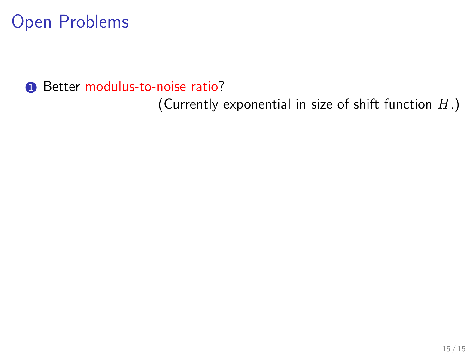**1** Better modulus-to-noise ratio?

(Currently exponential in size of shift function  $H$ .)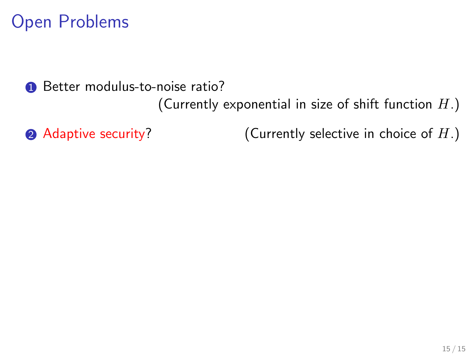**1** Better modulus-to-noise ratio?

(Currently exponential in size of shift function  $H$ .)

 $\bullet$  Adaptive security? (Currently selective in choice of  $H$ .)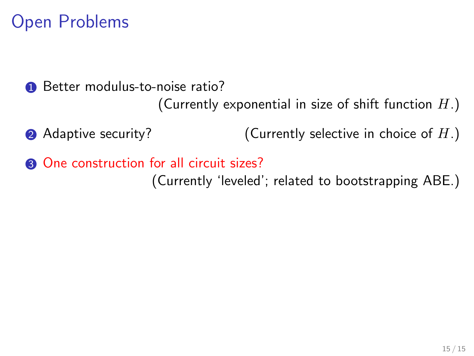**1** Better modulus-to-noise ratio?

(Currently exponential in size of shift function  $H$ .)

• Adaptive security?  $(Currently \, selective \, in \, choice \, of \, H.)$ 

**3** One construction for all circuit sizes? (Currently 'leveled'; related to bootstrapping ABE.)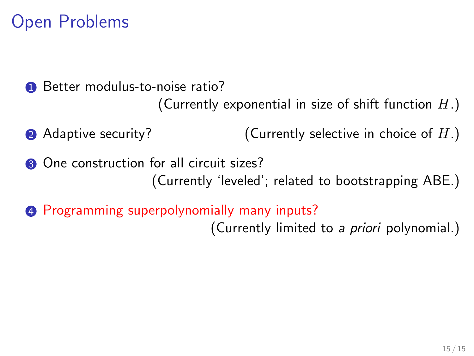**1** Better modulus-to-noise ratio? (Currently exponential in size of shift function  $H$ .)

• Adaptive security?  $\bullet$  (Currently selective in choice of  $H$ .)

**3** One construction for all circuit sizes? (Currently 'leveled'; related to bootstrapping ABE.)

**4** Programming superpolynomially many inputs? (Currently limited to a priori polynomial.)